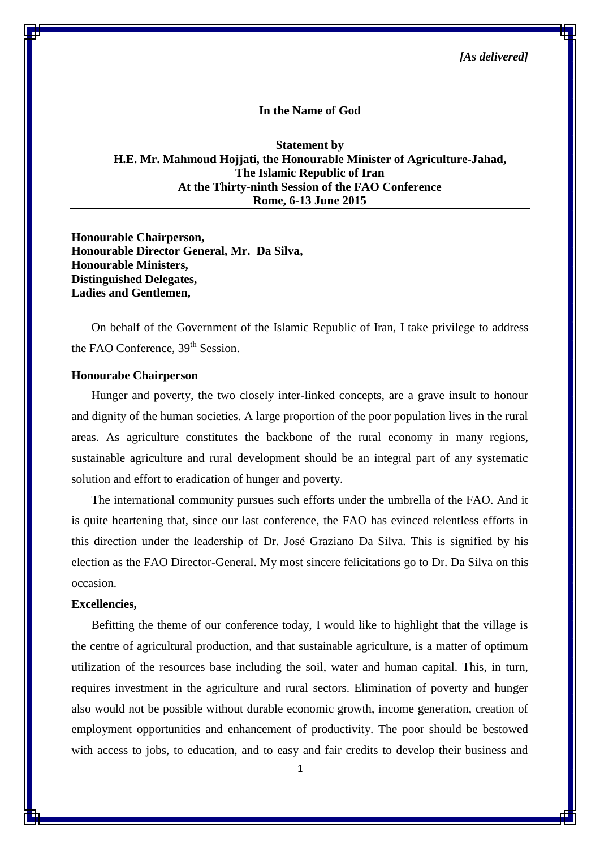**In the Name of God**

**Statement by H.E. Mr. Mahmoud Hojjati, the Honourable Minister of Agriculture-Jahad, The Islamic Republic of Iran At the Thirty-ninth Session of the FAO Conference Rome, 6-13 June 2015**

**Honourable Chairperson, Honourable Director General, Mr. Da Silva, Honourable Ministers, Distinguished Delegates, Ladies and Gentlemen,**

On behalf of the Government of the Islamic Republic of Iran, I take privilege to address the FAO Conference, 39<sup>th</sup> Session.

## **Honourabe Chairperson**

Hunger and poverty, the two closely inter-linked concepts, are a grave insult to honour and dignity of the human societies. A large proportion of the poor population lives in the rural areas. As agriculture constitutes the backbone of the rural economy in many regions, sustainable agriculture and rural development should be an integral part of any systematic solution and effort to eradication of hunger and poverty.

The international community pursues such efforts under the umbrella of the FAO. And it is quite heartening that, since our last conference, the FAO has evinced relentless efforts in this direction under the leadership of Dr. José Graziano Da Silva. This is signified by his election as the FAO Director-General. My most sincere felicitations go to Dr. Da Silva on this occasion.

## **Excellencies,**

Befitting the theme of our conference today, I would like to highlight that the village is the centre of agricultural production, and that sustainable agriculture, is a matter of optimum utilization of the resources base including the soil, water and human capital. This, in turn, requires investment in the agriculture and rural sectors. Elimination of poverty and hunger also would not be possible without durable economic growth, income generation, creation of employment opportunities and enhancement of productivity. The poor should be bestowed with access to jobs, to education, and to easy and fair credits to develop their business and